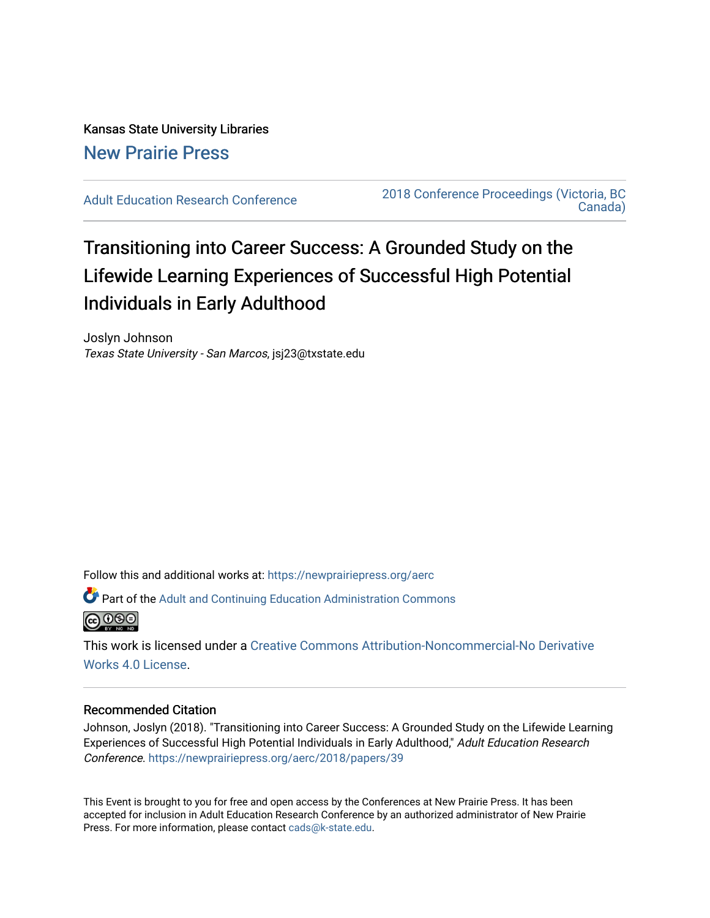Kansas State University Libraries [New Prairie Press](https://newprairiepress.org/) 

[Adult Education Research Conference](https://newprairiepress.org/aerc) [2018 Conference Proceedings \(Victoria, BC](https://newprairiepress.org/aerc/2018)  [Canada\)](https://newprairiepress.org/aerc/2018) 

# Transitioning into Career Success: A Grounded Study on the Lifewide Learning Experiences of Successful High Potential Individuals in Early Adulthood

Joslyn Johnson Texas State University - San Marcos, jsj23@txstate.edu

Follow this and additional works at: [https://newprairiepress.org/aerc](https://newprairiepress.org/aerc?utm_source=newprairiepress.org%2Faerc%2F2018%2Fpapers%2F39&utm_medium=PDF&utm_campaign=PDFCoverPages)

Part of the [Adult and Continuing Education Administration Commons](http://network.bepress.com/hgg/discipline/789?utm_source=newprairiepress.org%2Faerc%2F2018%2Fpapers%2F39&utm_medium=PDF&utm_campaign=PDFCoverPages) **@000** 

This work is licensed under a [Creative Commons Attribution-Noncommercial-No Derivative](https://creativecommons.org/licenses/by-nc-nd/4.0/)  [Works 4.0 License](https://creativecommons.org/licenses/by-nc-nd/4.0/).

#### Recommended Citation

Johnson, Joslyn (2018). "Transitioning into Career Success: A Grounded Study on the Lifewide Learning Experiences of Successful High Potential Individuals in Early Adulthood," Adult Education Research Conference.<https://newprairiepress.org/aerc/2018/papers/39>

This Event is brought to you for free and open access by the Conferences at New Prairie Press. It has been accepted for inclusion in Adult Education Research Conference by an authorized administrator of New Prairie Press. For more information, please contact [cads@k-state.edu.](mailto:cads@k-state.edu)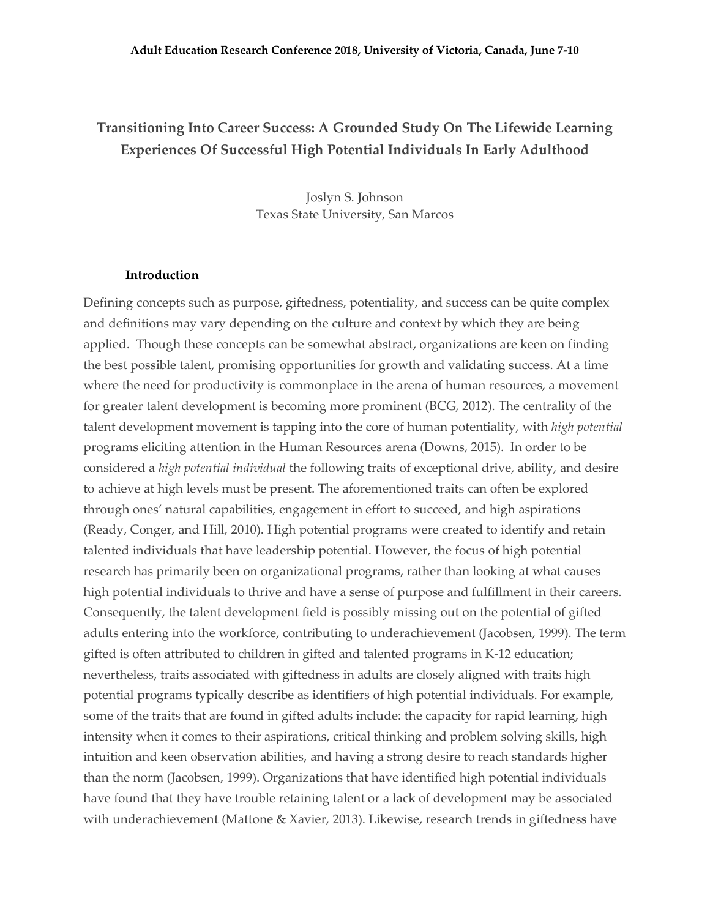## **Transitioning Into Career Success: A Grounded Study On The Lifewide Learning Experiences Of Successful High Potential Individuals In Early Adulthood**

Joslyn S. Johnson Texas State University, San Marcos

#### **Introduction**

Defining concepts such as purpose, giftedness, potentiality, and success can be quite complex and definitions may vary depending on the culture and context by which they are being applied. Though these concepts can be somewhat abstract, organizations are keen on finding the best possible talent, promising opportunities for growth and validating success. At a time where the need for productivity is commonplace in the arena of human resources, a movement for greater talent development is becoming more prominent (BCG, 2012). The centrality of the talent development movement is tapping into the core of human potentiality, with *high potential* programs eliciting attention in the Human Resources arena (Downs, 2015). In order to be considered a *high potential individual* the following traits of exceptional drive, ability, and desire to achieve at high levels must be present. The aforementioned traits can often be explored through ones' natural capabilities, engagement in effort to succeed, and high aspirations (Ready, Conger, and Hill, 2010). High potential programs were created to identify and retain talented individuals that have leadership potential. However, the focus of high potential research has primarily been on organizational programs, rather than looking at what causes high potential individuals to thrive and have a sense of purpose and fulfillment in their careers. Consequently, the talent development field is possibly missing out on the potential of gifted adults entering into the workforce, contributing to underachievement (Jacobsen, 1999). The term gifted is often attributed to children in gifted and talented programs in K-12 education; nevertheless, traits associated with giftedness in adults are closely aligned with traits high potential programs typically describe as identifiers of high potential individuals. For example, some of the traits that are found in gifted adults include: the capacity for rapid learning, high intensity when it comes to their aspirations, critical thinking and problem solving skills, high intuition and keen observation abilities, and having a strong desire to reach standards higher than the norm (Jacobsen, 1999). Organizations that have identified high potential individuals have found that they have trouble retaining talent or a lack of development may be associated with underachievement (Mattone & Xavier, 2013). Likewise, research trends in giftedness have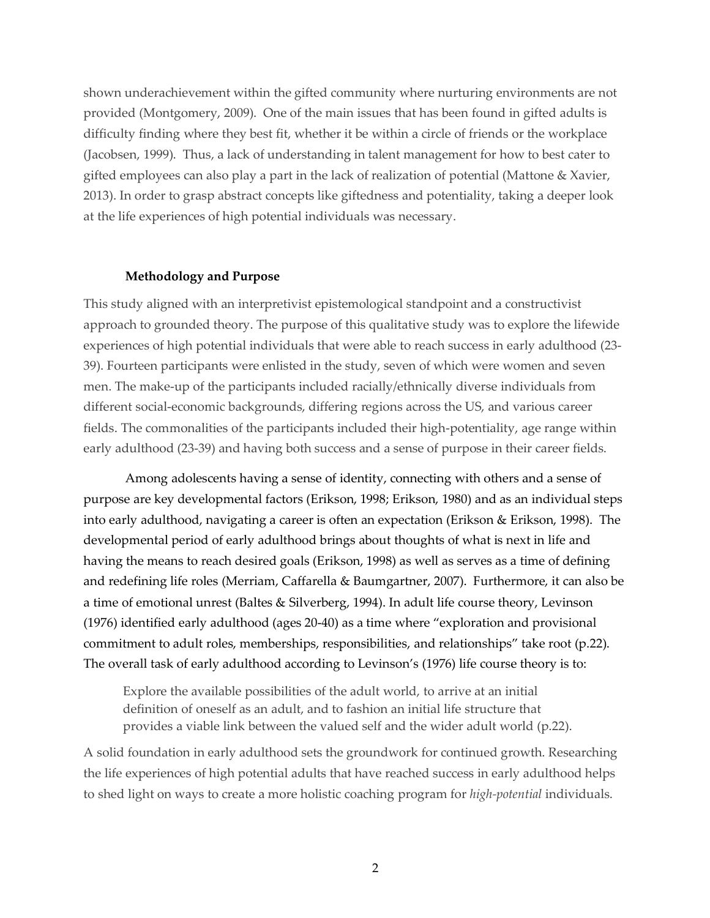shown underachievement within the gifted community where nurturing environments are not provided (Montgomery, 2009). One of the main issues that has been found in gifted adults is difficulty finding where they best fit, whether it be within a circle of friends or the workplace (Jacobsen, 1999). Thus, a lack of understanding in talent management for how to best cater to gifted employees can also play a part in the lack of realization of potential (Mattone & Xavier, 2013). In order to grasp abstract concepts like giftedness and potentiality, taking a deeper look at the life experiences of high potential individuals was necessary.

#### **Methodology and Purpose**

This study aligned with an interpretivist epistemological standpoint and a constructivist approach to grounded theory. The purpose of this qualitative study was to explore the lifewide experiences of high potential individuals that were able to reach success in early adulthood (23- 39). Fourteen participants were enlisted in the study, seven of which were women and seven men. The make-up of the participants included racially/ethnically diverse individuals from different social-economic backgrounds, differing regions across the US, and various career fields. The commonalities of the participants included their high-potentiality, age range within early adulthood (23-39) and having both success and a sense of purpose in their career fields.

Among adolescents having a sense of identity, connecting with others and a sense of purpose are key developmental factors (Erikson, 1998; Erikson, 1980) and as an individual steps into early adulthood, navigating a career is often an expectation (Erikson & Erikson, 1998). The developmental period of early adulthood brings about thoughts of what is next in life and having the means to reach desired goals (Erikson, 1998) as well as serves as a time of defining and redefining life roles (Merriam, Caffarella & Baumgartner, 2007). Furthermore, it can also be a time of emotional unrest (Baltes & Silverberg, 1994). In adult life course theory, Levinson (1976) identified early adulthood (ages 20-40) as a time where "exploration and provisional commitment to adult roles, memberships, responsibilities, and relationships" take root (p.22). The overall task of early adulthood according to Levinson's (1976) life course theory is to:

Explore the available possibilities of the adult world, to arrive at an initial definition of oneself as an adult, and to fashion an initial life structure that provides a viable link between the valued self and the wider adult world (p.22).

A solid foundation in early adulthood sets the groundwork for continued growth. Researching the life experiences of high potential adults that have reached success in early adulthood helps to shed light on ways to create a more holistic coaching program for *high-potential* individuals.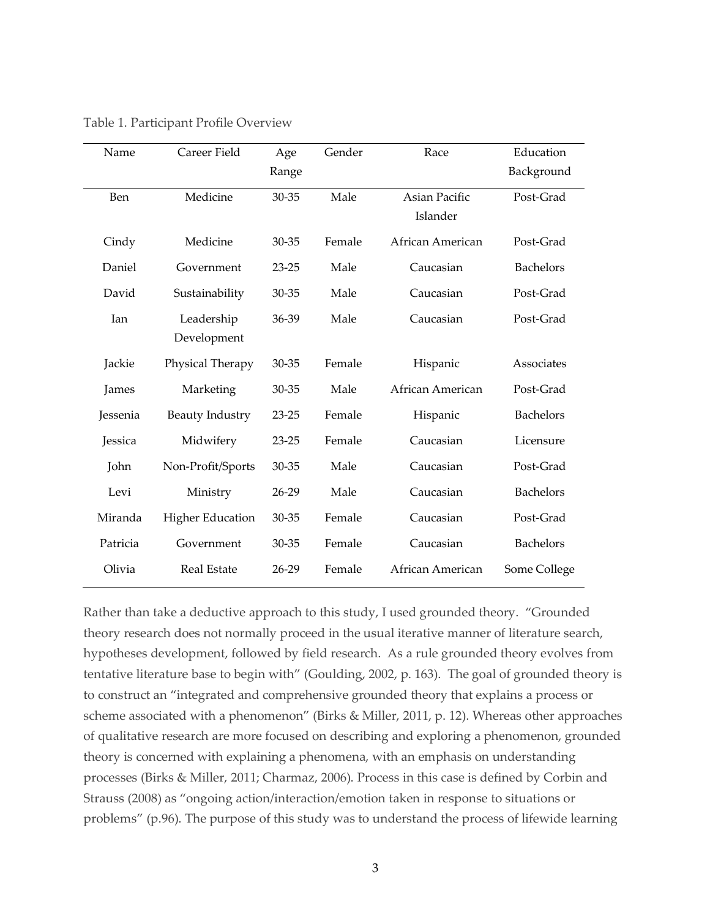| Name     | Career Field            | Age       | Gender | Race             | Education        |
|----------|-------------------------|-----------|--------|------------------|------------------|
|          |                         | Range     |        |                  | Background       |
| Ben      | Medicine                | 30-35     | Male   | Asian Pacific    | Post-Grad        |
|          |                         |           |        | Islander         |                  |
| Cindy    | Medicine                | 30-35     | Female | African American | Post-Grad        |
| Daniel   | Government              | $23 - 25$ | Male   | Caucasian        | <b>Bachelors</b> |
| David    | Sustainability          | 30-35     | Male   | Caucasian        | Post-Grad        |
| Ian      | Leadership              | 36-39     | Male   | Caucasian        | Post-Grad        |
|          | Development             |           |        |                  |                  |
| Jackie   | Physical Therapy        | 30-35     | Female | Hispanic         | Associates       |
| James    | Marketing               | $30 - 35$ | Male   | African American | Post-Grad        |
| Jessenia | <b>Beauty Industry</b>  | $23 - 25$ | Female | Hispanic         | <b>Bachelors</b> |
| Jessica  | Midwifery               | $23 - 25$ | Female | Caucasian        | Licensure        |
| John     | Non-Profit/Sports       | 30-35     | Male   | Caucasian        | Post-Grad        |
| Levi     | Ministry                | 26-29     | Male   | Caucasian        | <b>Bachelors</b> |
| Miranda  | <b>Higher Education</b> | 30-35     | Female | Caucasian        | Post-Grad        |
| Patricia | Government              | 30-35     | Female | Caucasian        | <b>Bachelors</b> |
| Olivia   | <b>Real Estate</b>      | 26-29     | Female | African American | Some College     |

Table 1. Participant Profile Overview

Rather than take a deductive approach to this study, I used grounded theory. "Grounded theory research does not normally proceed in the usual iterative manner of literature search, hypotheses development, followed by field research. As a rule grounded theory evolves from tentative literature base to begin with" (Goulding, 2002, p. 163). The goal of grounded theory is to construct an "integrated and comprehensive grounded theory that explains a process or scheme associated with a phenomenon" (Birks & Miller, 2011, p. 12). Whereas other approaches of qualitative research are more focused on describing and exploring a phenomenon, grounded theory is concerned with explaining a phenomena, with an emphasis on understanding processes (Birks & Miller, 2011; Charmaz, 2006). Process in this case is defined by Corbin and Strauss (2008) as "ongoing action/interaction/emotion taken in response to situations or problems" (p.96). The purpose of this study was to understand the process of lifewide learning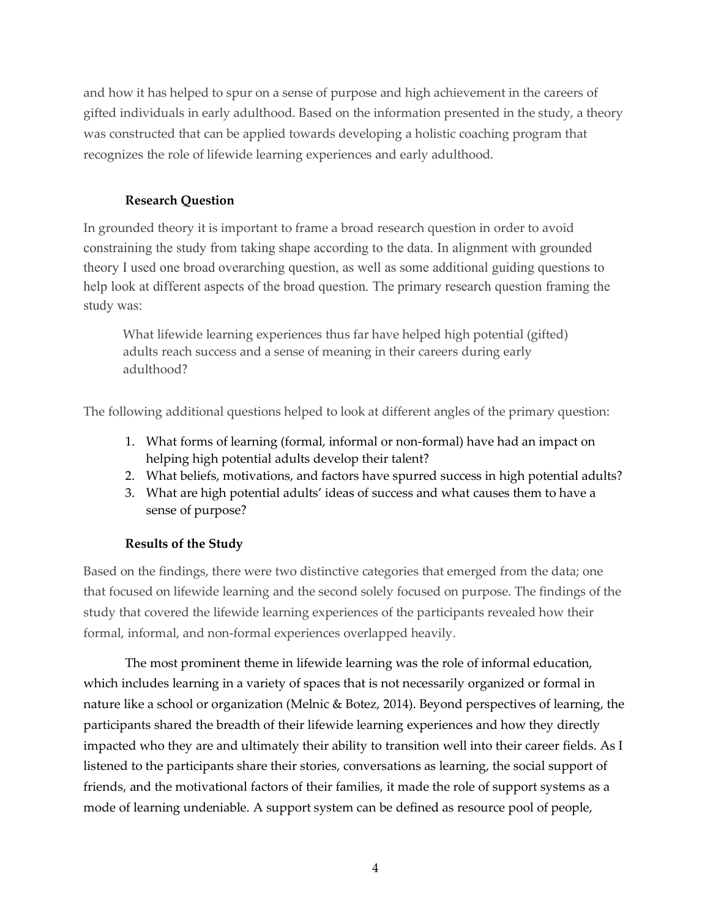and how it has helped to spur on a sense of purpose and high achievement in the careers of gifted individuals in early adulthood. Based on the information presented in the study, a theory was constructed that can be applied towards developing a holistic coaching program that recognizes the role of lifewide learning experiences and early adulthood.

## **Research Question**

In grounded theory it is important to frame a broad research question in order to avoid constraining the study from taking shape according to the data. In alignment with grounded theory I used one broad overarching question, as well as some additional guiding questions to help look at different aspects of the broad question. The primary research question framing the study was:

What lifewide learning experiences thus far have helped high potential (gifted) adults reach success and a sense of meaning in their careers during early adulthood?

The following additional questions helped to look at different angles of the primary question:

- 1. What forms of learning (formal, informal or non-formal) have had an impact on helping high potential adults develop their talent?
- 2. What beliefs, motivations, and factors have spurred success in high potential adults?
- 3. What are high potential adults' ideas of success and what causes them to have a sense of purpose?

## **Results of the Study**

Based on the findings, there were two distinctive categories that emerged from the data; one that focused on lifewide learning and the second solely focused on purpose. The findings of the study that covered the lifewide learning experiences of the participants revealed how their formal, informal, and non-formal experiences overlapped heavily.

The most prominent theme in lifewide learning was the role of informal education, which includes learning in a variety of spaces that is not necessarily organized or formal in nature like a school or organization (Melnic & Botez, 2014). Beyond perspectives of learning, the participants shared the breadth of their lifewide learning experiences and how they directly impacted who they are and ultimately their ability to transition well into their career fields. As I listened to the participants share their stories, conversations as learning, the social support of friends, and the motivational factors of their families, it made the role of support systems as a mode of learning undeniable. A support system can be defined as resource pool of people,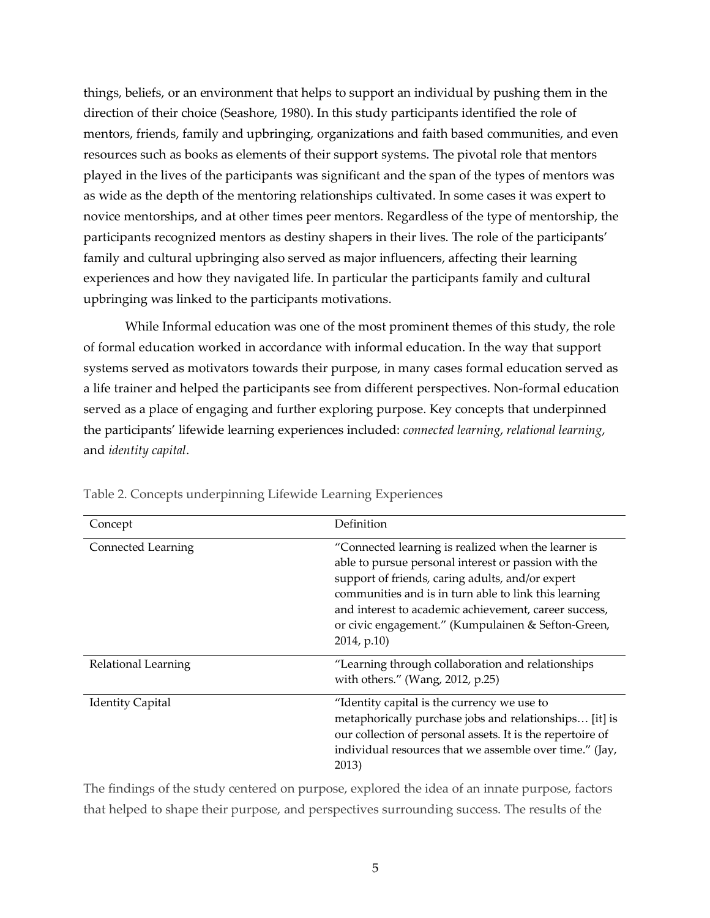things, beliefs, or an environment that helps to support an individual by pushing them in the direction of their choice (Seashore, 1980). In this study participants identified the role of mentors, friends, family and upbringing, organizations and faith based communities, and even resources such as books as elements of their support systems. The pivotal role that mentors played in the lives of the participants was significant and the span of the types of mentors was as wide as the depth of the mentoring relationships cultivated. In some cases it was expert to novice mentorships, and at other times peer mentors. Regardless of the type of mentorship, the participants recognized mentors as destiny shapers in their lives. The role of the participants' family and cultural upbringing also served as major influencers, affecting their learning experiences and how they navigated life. In particular the participants family and cultural upbringing was linked to the participants motivations.

While Informal education was one of the most prominent themes of this study, the role of formal education worked in accordance with informal education. In the way that support systems served as motivators towards their purpose, in many cases formal education served as a life trainer and helped the participants see from different perspectives. Non-formal education served as a place of engaging and further exploring purpose. Key concepts that underpinned the participants' lifewide learning experiences included: *connected learning*, *relational learning*, and *identity capital*.

| Concept                 | Definition                                                                                                                                                                                                                                                                                                                                             |
|-------------------------|--------------------------------------------------------------------------------------------------------------------------------------------------------------------------------------------------------------------------------------------------------------------------------------------------------------------------------------------------------|
| Connected Learning      | "Connected learning is realized when the learner is<br>able to pursue personal interest or passion with the<br>support of friends, caring adults, and/or expert<br>communities and is in turn able to link this learning<br>and interest to academic achievement, career success,<br>or civic engagement." (Kumpulainen & Sefton-Green,<br>2014, p.10) |
| Relational Learning     | "Learning through collaboration and relationships<br>with others." (Wang, 2012, p.25)                                                                                                                                                                                                                                                                  |
| <b>Identity Capital</b> | "Identity capital is the currency we use to<br>metaphorically purchase jobs and relationships [it] is<br>our collection of personal assets. It is the repertoire of<br>individual resources that we assemble over time." (Jay,<br>2013)                                                                                                                |

Table 2. Concepts underpinning Lifewide Learning Experiences

The findings of the study centered on purpose, explored the idea of an innate purpose, factors that helped to shape their purpose, and perspectives surrounding success. The results of the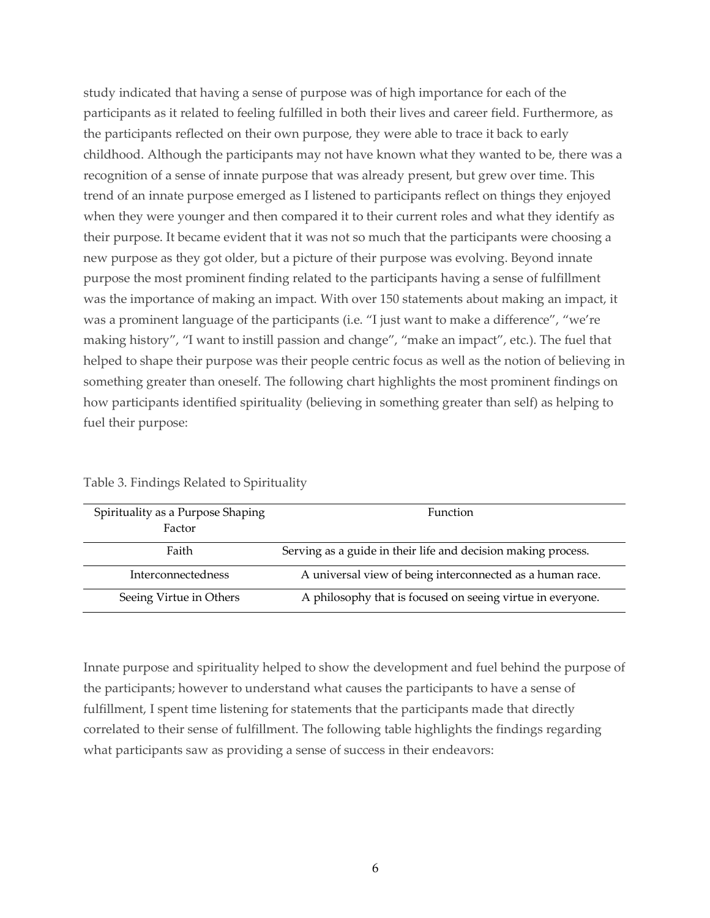study indicated that having a sense of purpose was of high importance for each of the participants as it related to feeling fulfilled in both their lives and career field. Furthermore, as the participants reflected on their own purpose, they were able to trace it back to early childhood. Although the participants may not have known what they wanted to be, there was a recognition of a sense of innate purpose that was already present, but grew over time. This trend of an innate purpose emerged as I listened to participants reflect on things they enjoyed when they were younger and then compared it to their current roles and what they identify as their purpose. It became evident that it was not so much that the participants were choosing a new purpose as they got older, but a picture of their purpose was evolving. Beyond innate purpose the most prominent finding related to the participants having a sense of fulfillment was the importance of making an impact. With over 150 statements about making an impact, it was a prominent language of the participants (i.e. "I just want to make a difference", "we're making history", "I want to instill passion and change", "make an impact", etc.). The fuel that helped to shape their purpose was their people centric focus as well as the notion of believing in something greater than oneself. The following chart highlights the most prominent findings on how participants identified spirituality (believing in something greater than self) as helping to fuel their purpose:

| Spirituality as a Purpose Shaping<br>Factor | <b>Function</b>                                               |
|---------------------------------------------|---------------------------------------------------------------|
| Faith                                       | Serving as a guide in their life and decision making process. |
| Interconnectedness                          | A universal view of being interconnected as a human race.     |
| Seeing Virtue in Others                     | A philosophy that is focused on seeing virtue in everyone.    |

Table 3. Findings Related to Spirituality

Innate purpose and spirituality helped to show the development and fuel behind the purpose of the participants; however to understand what causes the participants to have a sense of fulfillment, I spent time listening for statements that the participants made that directly correlated to their sense of fulfillment. The following table highlights the findings regarding what participants saw as providing a sense of success in their endeavors: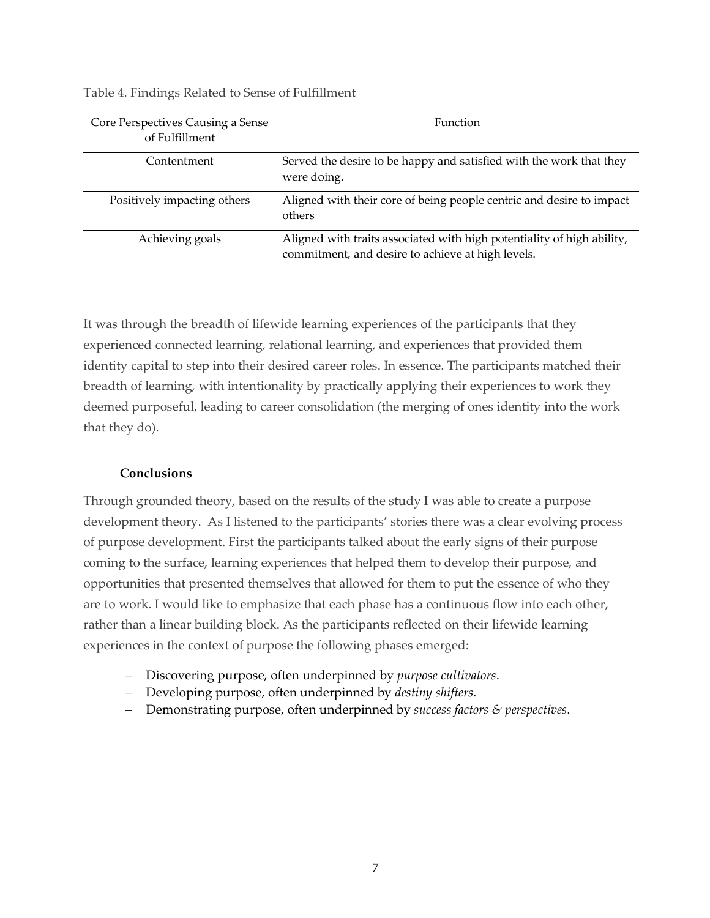| Core Perspectives Causing a Sense<br>of Fulfillment | <b>Function</b>                                                                                                             |
|-----------------------------------------------------|-----------------------------------------------------------------------------------------------------------------------------|
| Contentment                                         | Served the desire to be happy and satisfied with the work that they<br>were doing.                                          |
| Positively impacting others                         | Aligned with their core of being people centric and desire to impact<br>others                                              |
| Achieving goals                                     | Aligned with traits associated with high potentiality of high ability,<br>commitment, and desire to achieve at high levels. |

Table 4. Findings Related to Sense of Fulfillment

It was through the breadth of lifewide learning experiences of the participants that they experienced connected learning, relational learning, and experiences that provided them identity capital to step into their desired career roles. In essence. The participants matched their breadth of learning, with intentionality by practically applying their experiences to work they deemed purposeful, leading to career consolidation (the merging of ones identity into the work that they do).

### **Conclusions**

Through grounded theory, based on the results of the study I was able to create a purpose development theory. As I listened to the participants' stories there was a clear evolving process of purpose development. First the participants talked about the early signs of their purpose coming to the surface, learning experiences that helped them to develop their purpose, and opportunities that presented themselves that allowed for them to put the essence of who they are to work. I would like to emphasize that each phase has a continuous flow into each other, rather than a linear building block. As the participants reflected on their lifewide learning experiences in the context of purpose the following phases emerged:

- Discovering purpose, often underpinned by *purpose cultivators*.
- Developing purpose, often underpinned by *destiny shifters*.
- Demonstrating purpose, often underpinned by *success factors & perspectives*.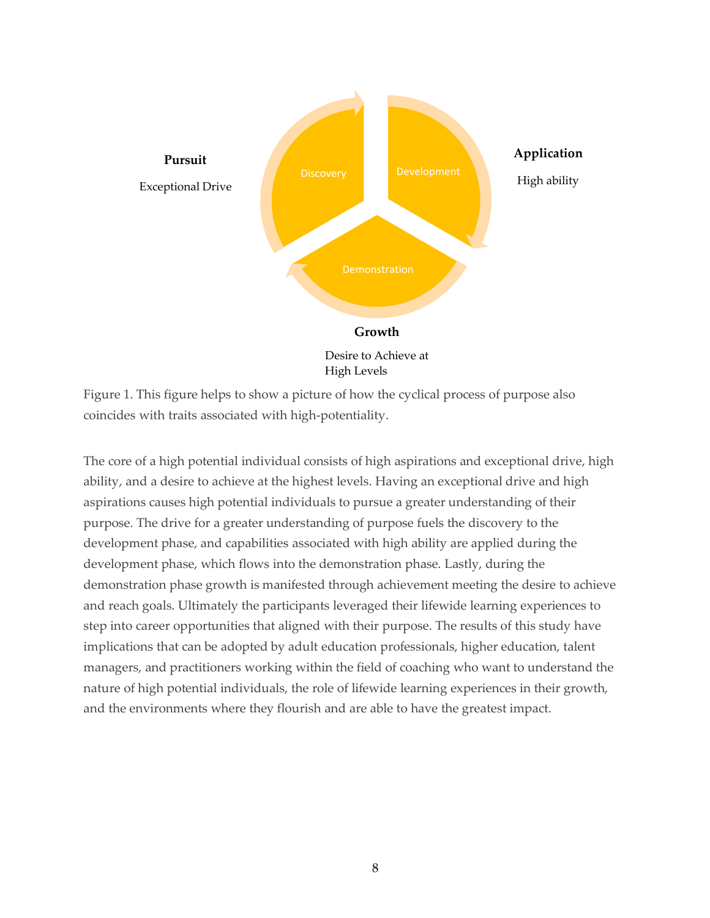

Figure 1. This figure helps to show a picture of how the cyclical process of purpose also coincides with traits associated with high-potentiality.

The core of a high potential individual consists of high aspirations and exceptional drive, high ability, and a desire to achieve at the highest levels. Having an exceptional drive and high aspirations causes high potential individuals to pursue a greater understanding of their purpose. The drive for a greater understanding of purpose fuels the discovery to the development phase, and capabilities associated with high ability are applied during the development phase, which flows into the demonstration phase. Lastly, during the demonstration phase growth is manifested through achievement meeting the desire to achieve and reach goals. Ultimately the participants leveraged their lifewide learning experiences to step into career opportunities that aligned with their purpose. The results of this study have implications that can be adopted by adult education professionals, higher education, talent managers, and practitioners working within the field of coaching who want to understand the nature of high potential individuals, the role of lifewide learning experiences in their growth, and the environments where they flourish and are able to have the greatest impact.